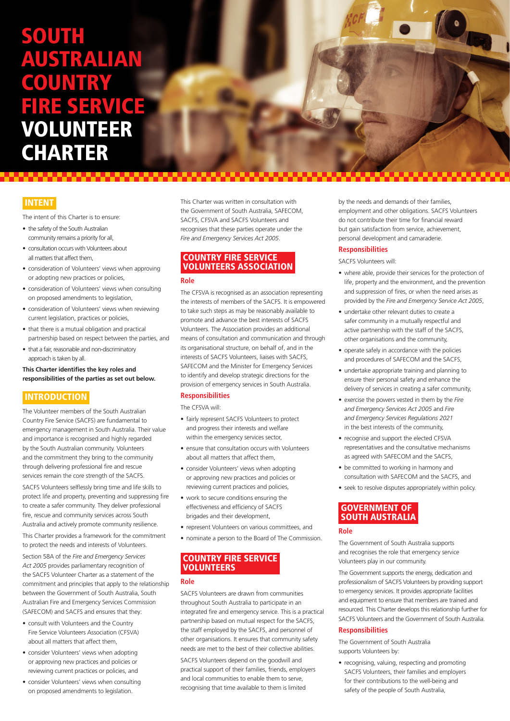# **SOUTH** AUSTRALIAN COUNTRY FIRE SERVICE VOLUNTEER **CHARTER**

# **INTENT**

The intent of this Charter is to ensure:

- the safety of the South Australian community remains a priority for all,
- consultation occurs with Volunteers about all matters that affect them,
- consideration of Volunteers' views when approving or adopting new practices or policies,
- consideration of Volunteers' views when consulting on proposed amendments to legislation,
- consideration of Volunteers' views when reviewing current legislation, practices or policies,
- that there is a mutual obligation and practical partnership based on respect between the parties, and
- that a fair, reasonable and non-discriminatory approach is taken by all.

#### **This Charter identifies the key roles and responsibilities of the parties as set out below.**

## **INTRODUCTION**

The Volunteer members of the South Australian Country Fire Service (SACFS) are fundamental to emergency management in South Australia. Their value and importance is recognised and highly regarded by the South Australian community. Volunteers and the commitment they bring to the community through delivering professional fire and rescue services remain the core strength of the SACFS.

SACFS Volunteers selflessly bring time and life skills to protect life and property, preventing and suppressing fire to create a safer community. They deliver professional fire, rescue and community services across South Australia and actively promote community resilience.

This Charter provides a framework for the commitment to protect the needs and interests of Volunteers.

Section 58A of the *Fire and Emergency Services Act 2005* provides parliamentary recognition of the SACFS Volunteer Charter as a statement of the commitment and principles that apply to the relationship between the Government of South Australia, South Australian Fire and Emergency Services Commission (SAFECOM) and SACFS and ensures that they:

- consult with Volunteers and the Country Fire Service Volunteers Association (CFSVA) about all matters that affect them,
- consider Volunteers' views when adopting or approving new practices and policies or reviewing current practices or policies, and
- consider Volunteers' views when consulting on proposed amendments to legislation.

This Charter was written in consultation with the Government of South Australia, SAFECOM, SACES, CESVA and SACES Volunteers and recognises that these parties operate under the *Fire and Emergency Services Act 2005*.

# COUNTRY FIRE SERVICE VOLUNTEERS ASSOCIATION

#### **Role**

The CFSVA is recognised as an association representing the interests of members of the SACFS. It is empowered to take such steps as may be reasonably available to promote and advance the best interests of SACFS Volunteers. The Association provides an additional means of consultation and communication and through its organisational structure, on behalf of, and in the interests of SACFS Volunteers, liaises with SACFS, SAFECOM and the Minister for Emergency Services to identify and develop strategic directions for the provision of emergency services in South Australia.

#### **Responsibilities**

The CFSVA will:

- fairly represent SACFS Volunteers to protect and progress their interests and welfare within the emergency services sector,
- ensure that consultation occurs with Volunteers about all matters that affect them,
- consider Volunteers' views when adopting or approving new practices and policies or reviewing current practices and policies,
- work to secure conditions ensuring the effectiveness and efficiency of SACFS brigades and their development,
- represent Volunteers on various committees, and
- nominate a person to the Board of The Commission.

## COUNTRY FIRE SERVICE VOLUNTEERS

#### **Role**

SACFS Volunteers are drawn from communities throughout South Australia to participate in an integrated fire and emergency service. This is a practical partnership based on mutual respect for the SACFS, the staff employed by the SACFS, and personnel of other organisations. It ensures that community safety needs are met to the best of their collective abilities.

SACFS Volunteers depend on the goodwill and practical support of their families, friends, employers and local communities to enable them to serve, recognising that time available to them is limited

by the needs and demands of their families, employment and other obligations. SACFS Volunteers do not contribute their time for financial reward but gain satisfaction from service, achievement personal development and camaraderie.

 $\bullet$   $\bullet$ 

#### **Responsibilities**

SACFS Volunteers will:

- where able, provide their services for the protection of life, property and the environment, and the prevention and suppression of fires, or when the need arises as provided by the *Fire and Emergency Service Act 2005*,
- undertake other relevant duties to create a safer community in a mutually respectful and active partnership with the staff of the SACFS, other organisations and the community,
- operate safely in accordance with the policies and procedures of SAFECOM and the SACFS,
- undertake appropriate training and planning to ensure their personal safety and enhance the delivery of services in creating a safer community,
- exercise the powers vested in them by the *Fire and Emergency Services Act 2005* and *Fire and Emergency Services Regulations 2021* in the best interests of the community,
- recognise and support the elected CFSVA representatives and the consultative mechanisms as agreed with SAFECOM and the SACES
- be committed to working in harmony and consultation with SAFECOM and the SACFS, and
- seek to resolve disputes appropriately within policy.

# GOVERNMENT OF SOUTH AUSTRALIA

#### **Role**

The Government of South Australia supports and recognises the role that emergency service Volunteers play in our community.

The Government supports the energy, dedication and professionalism of SACFS Volunteers by providing support to emergency services. It provides appropriate facilities and equipment to ensure that members are trained and resourced. This Charter develops this relationship further for SACFS Volunteers and the Government of South Australia.

#### **Responsibilities**

The Government of South Australia supports Volunteers by:

• recognising, valuing, respecting and promoting SACFS Volunteers, their families and employers for their contributions to the well-being and safety of the people of South Australia,